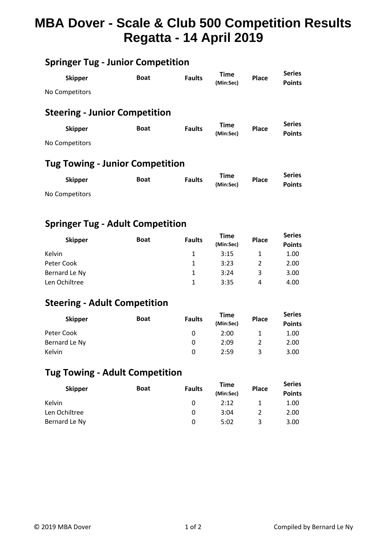# **MBA Dover - Scale & Club 500 Competition Results Regatta - 14 April 2019**

## **Springer Tug - Junior Competition**

| <b>Skipper</b>                         | <b>Boat</b> | <b>Faults</b> | <b>Time</b><br>(Min:Sec) | <b>Place</b> | <b>Series</b><br><b>Points</b> |  |  |  |
|----------------------------------------|-------------|---------------|--------------------------|--------------|--------------------------------|--|--|--|
| No Competitors                         |             |               |                          |              |                                |  |  |  |
| <b>Steering - Junior Competition</b>   |             |               |                          |              |                                |  |  |  |
| <b>Skipper</b>                         | <b>Boat</b> | <b>Faults</b> | <b>Time</b><br>(Min:Sec) | <b>Place</b> | <b>Series</b><br><b>Points</b> |  |  |  |
| No Competitors                         |             |               |                          |              |                                |  |  |  |
| <b>Tug Towing - Junior Competition</b> |             |               |                          |              |                                |  |  |  |
| <b>Skipper</b>                         | <b>Boat</b> | <b>Faults</b> | <b>Time</b><br>(Min:Sec) | Place        | <b>Series</b><br><b>Points</b> |  |  |  |

No Competitors

#### **Springer Tug - Adult Competition**

| <b>Skipper</b> | <b>Boat</b> | <b>Faults</b> | Time<br>(Min:Sec) | <b>Place</b> | <b>Series</b><br><b>Points</b> |
|----------------|-------------|---------------|-------------------|--------------|--------------------------------|
| Kelvin         |             |               | 3:15              |              | 1.00                           |
| Peter Cook     |             |               | 3:23              |              | 2.00                           |
| Bernard Le Ny  |             | 1             | 3:24              | 3            | 3.00                           |
| Len Ochiltree  |             |               | 3:35              | 4            | 4.00                           |

### **Steering - Adult Competition**

| <b>Skipper</b> | <b>Boat</b> | <b>Faults</b> | <b>Time</b><br>(Min:Sec) | <b>Place</b> | <b>Series</b><br><b>Points</b> |
|----------------|-------------|---------------|--------------------------|--------------|--------------------------------|
| Peter Cook     |             |               | 2:00                     |              | 1.00                           |
| Bernard Le Ny  |             |               | 2:09                     |              | 2.00                           |
| Kelvin         |             |               | 2:59                     | 2            | 3.00                           |

#### **Tug Towing - Adult Competition**

| <b>Skipper</b> | <b>Boat</b> | <b>Faults</b> | <b>Time</b><br>(Min:Sec) | <b>Place</b> | <b>Series</b><br><b>Points</b> |
|----------------|-------------|---------------|--------------------------|--------------|--------------------------------|
| Kelvin         |             |               | 2:12                     |              | 1.00                           |
| Len Ochiltree  |             |               | 3:04                     |              | 2.00                           |
| Bernard Le Ny  |             |               | 5:02                     | 2            | 3.00                           |